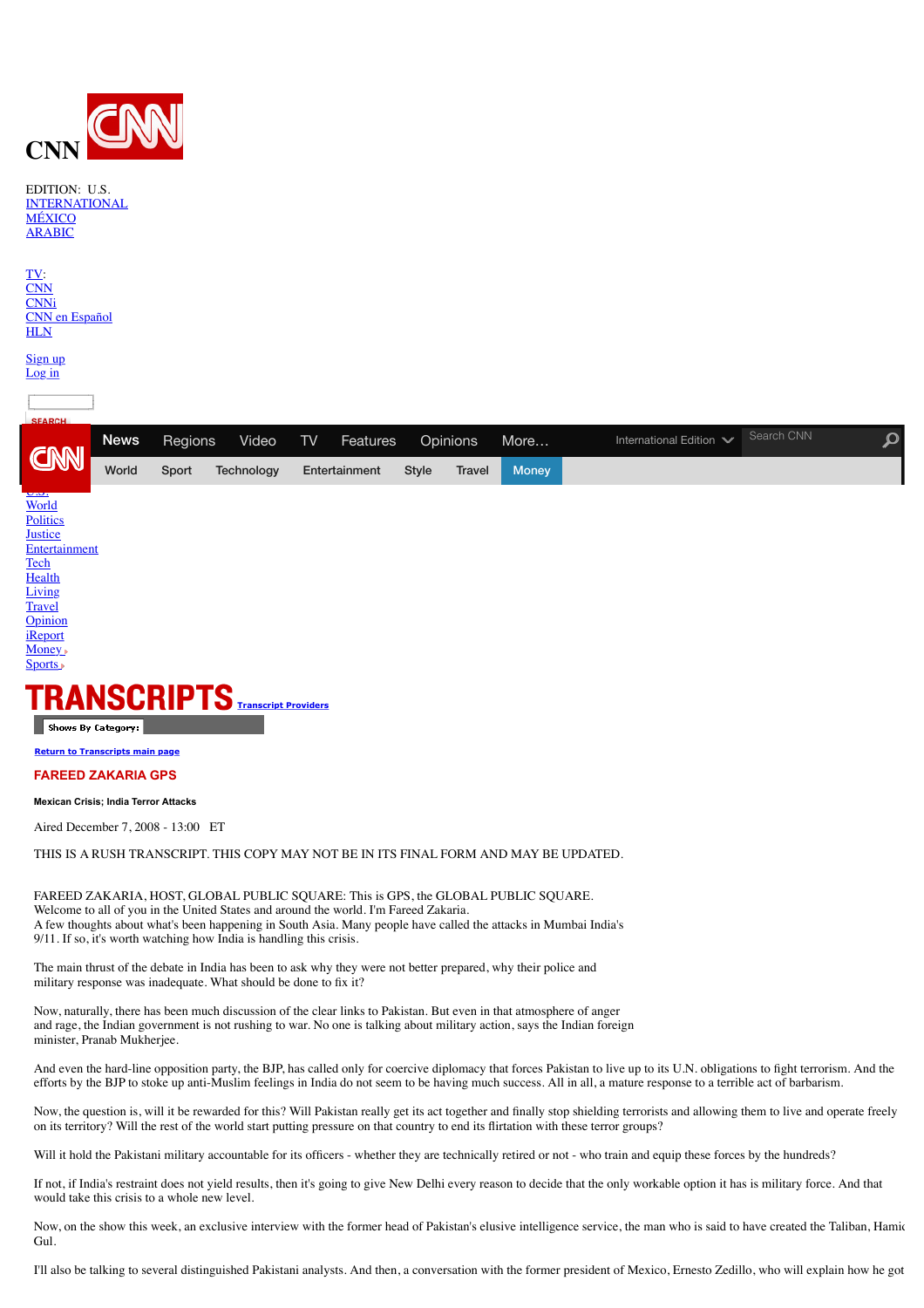

EDITION: U.S.

| <b>INTERNATIONAL</b><br><b>MÉXICO</b><br><b>ARABIC</b>                 |             |         |            |    |               |              |               |              |                         |            |                      |
|------------------------------------------------------------------------|-------------|---------|------------|----|---------------|--------------|---------------|--------------|-------------------------|------------|----------------------|
| TV<br><b>CNN</b><br><b>CNNi</b><br><b>CNN</b> en Español<br><b>HLN</b> |             |         |            |    |               |              |               |              |                         |            |                      |
| Sign up<br>Log in                                                      |             |         |            |    |               |              |               |              |                         |            |                      |
| <b>SEARCH</b>                                                          |             |         |            |    |               |              |               |              |                         |            |                      |
| CNN                                                                    | <b>News</b> | Regions | Video      | TV | Features      |              | Opinions      | More         | International Edition V | Search CNN | $\boldsymbol{\beta}$ |
|                                                                        | World       | Sport   | Technology |    | Entertainment | <b>Style</b> | <b>Travel</b> | <b>Money</b> |                         |            |                      |
| $u$<br>World<br>Politics                                               |             |         |            |    |               |              |               |              |                         |            |                      |

**[Justice](http://edition.cnn.com/JUSTICE/) [Entertainment](http://edition.cnn.com/SHOWBIZ/) [Tech](http://edition.cnn.com/TECH/) [Health](http://edition.cnn.com/HEALTH/)** [Living](http://edition.cnn.com/LIVING/) **[Travel](http://edition.cnn.com/TRAVEL/)** 

**[Opinion](http://edition.cnn.com/OPINION/) i**Report [Money](http://money.cnn.com/?cnn=yes)<sub>1</sub>



**[Return to Transcripts main page](http://edition.cnn.com/TRANSCRIPTS/)**

# **FAREED ZAKARIA GPS**

**Mexican Crisis; India Terror Attacks**

Aired December 7, 2008 - 13:00 ET

THIS IS A RUSH TRANSCRIPT. THIS COPY MAY NOT BE IN ITS FINAL FORM AND MAY BE UPDATED.

FAREED ZAKARIA, HOST, GLOBAL PUBLIC SQUARE: This is GPS, the GLOBAL PUBLIC SQUARE. Welcome to all of you in the United States and around the world. I'm Fareed Zakaria. A few thoughts about what's been happening in South Asia. Many people have called the attacks in Mumbai India's 9/11. If so, it's worth watching how India is handling this crisis.

The main thrust of the debate in India has been to ask why they were not better prepared, why their police and military response was inadequate. What should be done to fix it?

Now, naturally, there has been much discussion of the clear links to Pakistan. But even in that atmosphere of anger and rage, the Indian government is not rushing to war. No one is talking about military action, says the Indian foreign minister, Pranab Mukherjee.

And even the hard-line opposition party, the BJP, has called only for coercive diplomacy that forces Pakistan to live up to its U.N. obligations to fight terrorism. And the efforts by the BJP to stoke up anti-Muslim feelings in India do not seem to be having much success. All in all, a mature response to a terrible act of barbarism.

Now, the question is, will it be rewarded for this? Will Pakistan really get its act together and finally stop shielding terrorists and allowing them to live and operate freely on its territory? Will the rest of the world start putting pressure on that country to end its flirtation with these terror groups?

Will it hold the Pakistani military accountable for its officers - whether they are technically retired or not - who train and equip these forces by the hundreds?

If not, if India's restraint does not yield results, then it's going to give New Delhi every reason to decide that the only workable option it has is military force. And that would take this crisis to a whole new level.

Now, on the show this week, an exclusive interview with the former head of Pakistan's elusive intelligence service, the man who is said to have created the Taliban, Hamid Gul.

I'll also be talking to several distinguished Pakistani analysts. And then, a conversation with the former president of Mexico, Ernesto Zedillo, who will explain how he got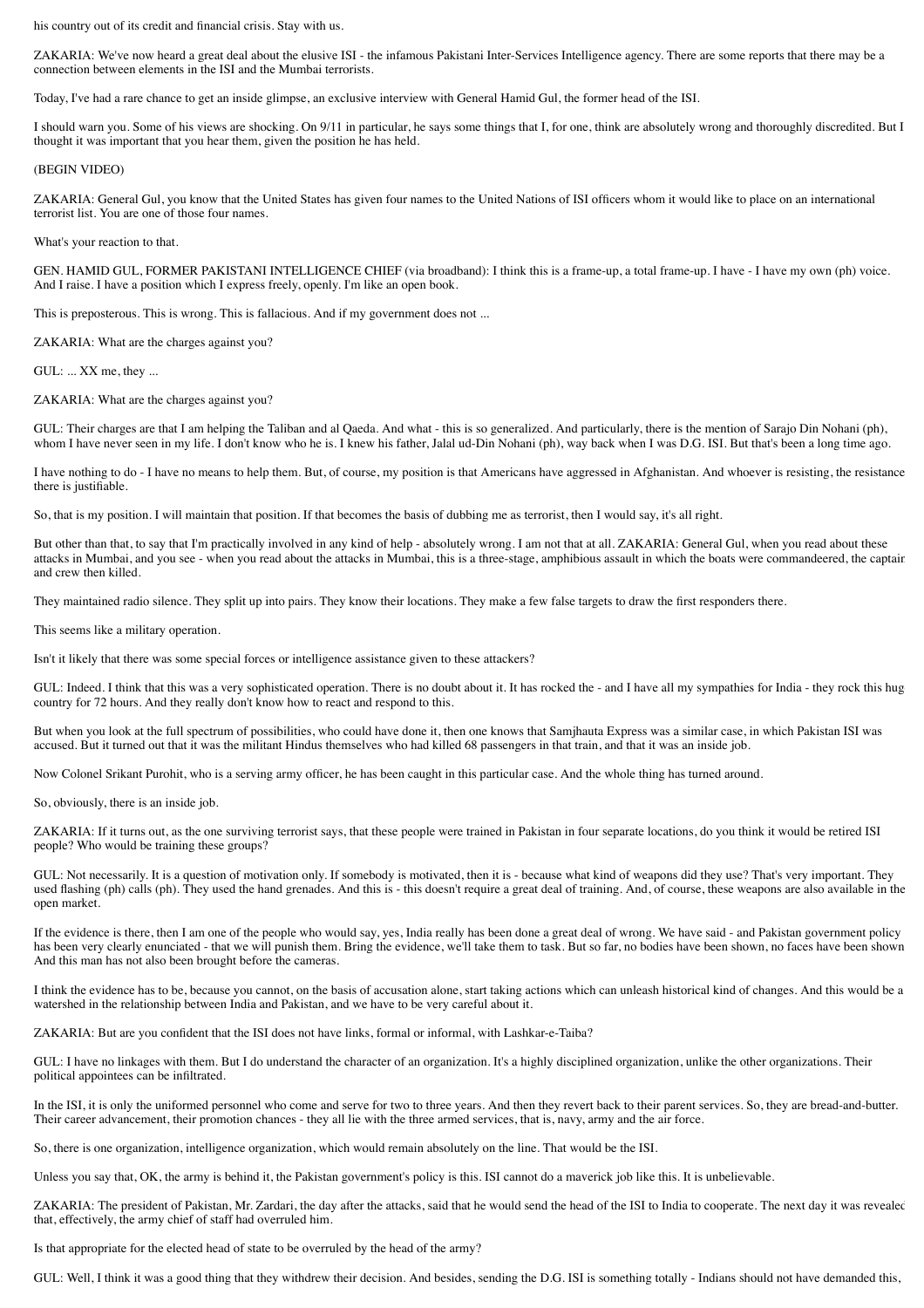his country out of its credit and financial crisis. Stay with us.

ZAKARIA: We've now heard a great deal about the elusive ISI - the infamous Pakistani Inter-Services Intelligence agency. There are some reports that there may be a connection between elements in the ISI and the Mumbai terrorists.

Today, I've had a rare chance to get an inside glimpse, an exclusive interview with General Hamid Gul, the former head of the ISI.

I should warn you. Some of his views are shocking. On 9/11 in particular, he says some things that I, for one, think are absolutely wrong and thoroughly discredited. But I thought it was important that you hear them, given the position he has held.

#### (BEGIN VIDEO)

ZAKARIA: General Gul, you know that the United States has given four names to the United Nations of ISI officers whom it would like to place on an international terrorist list. You are one of those four names.

What's your reaction to that.

GEN. HAMID GUL, FORMER PAKISTANI INTELLIGENCE CHIEF (via broadband): I think this is a frame-up, a total frame-up. I have - I have my own (ph) voice. And I raise. I have a position which I express freely, openly. I'm like an open book.

This is preposterous. This is wrong. This is fallacious. And if my government does not ...

ZAKARIA: What are the charges against you?

GUL: ... XX me, they ...

ZAKARIA: What are the charges against you?

GUL: Their charges are that I am helping the Taliban and al Qaeda. And what - this is so generalized. And particularly, there is the mention of Sarajo Din Nohani (ph), whom I have never seen in my life. I don't know who he is. I knew his father, Jalal ud-Din Nohani (ph), way back when I was D.G. ISI. But that's been a long time ago.

I have nothing to do - I have no means to help them. But, of course, my position is that Americans have aggressed in Afghanistan. And whoever is resisting, the resistance there is justifiable.

So, that is my position. I will maintain that position. If that becomes the basis of dubbing me as terrorist, then I would say, it's all right.

But other than that, to say that I'm practically involved in any kind of help - absolutely wrong. I am not that at all. ZAKARIA: General Gul, when you read about these attacks in Mumbai, and you see - when you read about the attacks in Mumbai, this is a three-stage, amphibious assault in which the boats were commandeered, the captain and crew then killed.

They maintained radio silence. They split up into pairs. They know their locations. They make a few false targets to draw the first responders there.

This seems like a military operation.

Isn't it likely that there was some special forces or intelligence assistance given to these attackers?

GUL: Indeed. I think that this was a very sophisticated operation. There is no doubt about it. It has rocked the - and I have all my sympathies for India - they rock this huge country for 72 hours. And they really don't know how to react and respond to this.

But when you look at the full spectrum of possibilities, who could have done it, then one knows that Samjhauta Express was a similar case, in which Pakistan ISI was accused. But it turned out that it was the militant Hindus themselves who had killed 68 passengers in that train, and that it was an inside job.

Now Colonel Srikant Purohit, who is a serving army officer, he has been caught in this particular case. And the whole thing has turned around.

So, obviously, there is an inside job.

ZAKARIA: If it turns out, as the one surviving terrorist says, that these people were trained in Pakistan in four separate locations, do you think it would be retired ISI people? Who would be training these groups?

GUL: Not necessarily. It is a question of motivation only. If somebody is motivated, then it is - because what kind of weapons did they use? That's very important. They used flashing (ph) calls (ph). They used the hand grenades. And this is - this doesn't require a great deal of training. And, of course, these weapons are also available in the open market.

If the evidence is there, then I am one of the people who would say, yes, India really has been done a great deal of wrong. We have said - and Pakistan government policy has been very clearly enunciated - that we will punish them. Bring the evidence, we'll take them to task. But so far, no bodies have been shown, no faces have been shown And this man has not also been brought before the cameras.

I think the evidence has to be, because you cannot, on the basis of accusation alone, start taking actions which can unleash historical kind of changes. And this would be a watershed in the relationship between India and Pakistan, and we have to be very careful about it.

ZAKARIA: But are you confident that the ISI does not have links, formal or informal, with Lashkar-e-Taiba?

GUL: I have no linkages with them. But I do understand the character of an organization. It's a highly disciplined organization, unlike the other organizations. Their political appointees can be infiltrated.

In the ISI, it is only the uniformed personnel who come and serve for two to three years. And then they revert back to their parent services. So, they are bread-and-butter. Their career advancement, their promotion chances - they all lie with the three armed services, that is, navy, army and the air force.

So, there is one organization, intelligence organization, which would remain absolutely on the line. That would be the ISI.

Unless you say that, OK, the army is behind it, the Pakistan government's policy is this. ISI cannot do a maverick job like this. It is unbelievable.

ZAKARIA: The president of Pakistan, Mr. Zardari, the day after the attacks, said that he would send the head of the ISI to India to cooperate. The next day it was revealed that, effectively, the army chief of staff had overruled him.

Is that appropriate for the elected head of state to be overruled by the head of the army?

GUL: Well, I think it was a good thing that they withdrew their decision. And besides, sending the D.G. ISI is something totally - Indians should not have demanded this,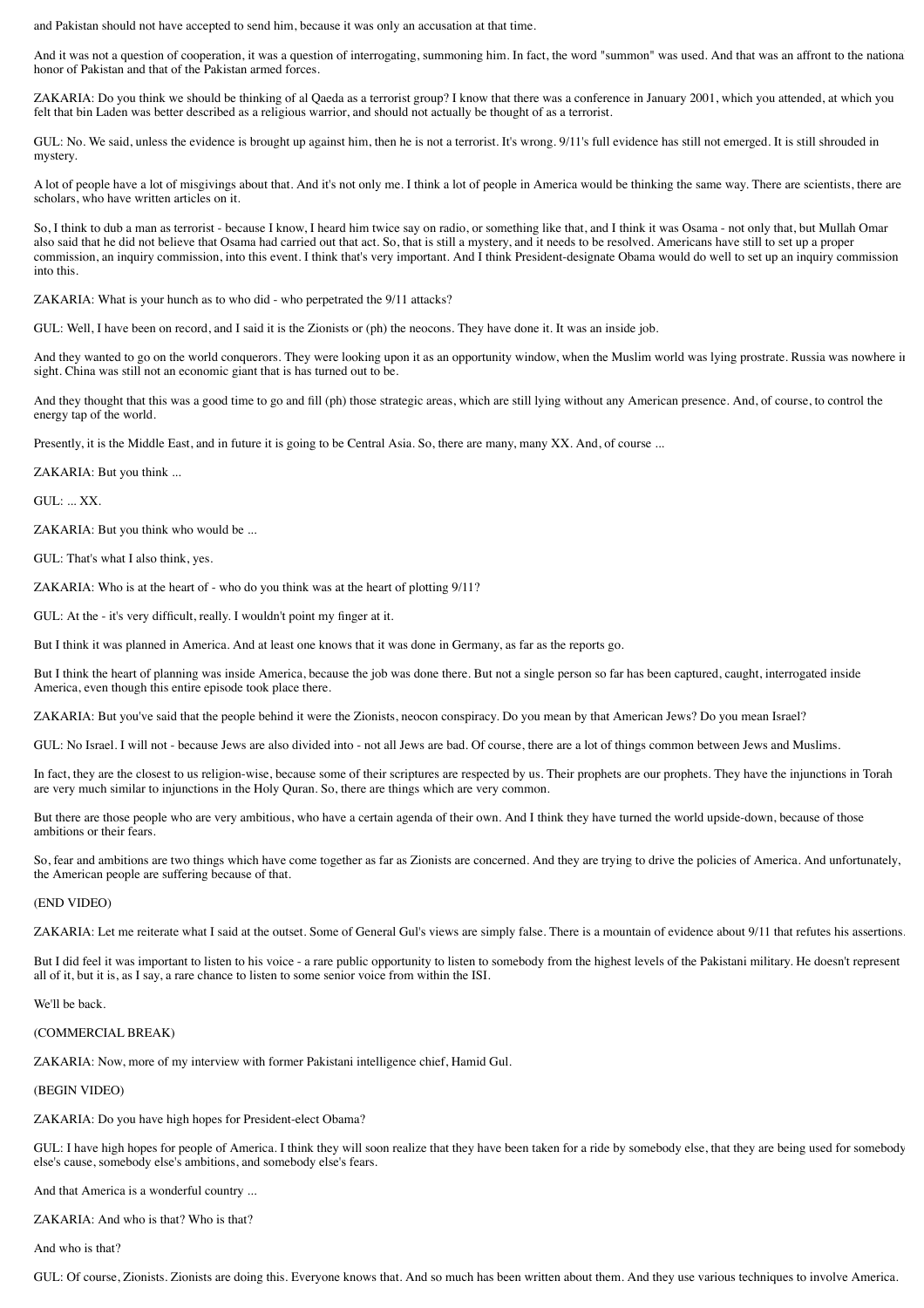and Pakistan should not have accepted to send him, because it was only an accusation at that time.

And it was not a question of cooperation, it was a question of interrogating, summoning him. In fact, the word "summon" was used. And that was an affront to the national honor of Pakistan and that of the Pakistan armed forces.

ZAKARIA: Do you think we should be thinking of al Qaeda as a terrorist group? I know that there was a conference in January 2001, which you attended, at which you felt that bin Laden was better described as a religious warrior, and should not actually be thought of as a terrorist.

GUL: No. We said, unless the evidence is brought up against him, then he is not a terrorist. It's wrong. 9/11's full evidence has still not emerged. It is still shrouded in mystery.

A lot of people have a lot of misgivings about that. And it's not only me. I think a lot of people in America would be thinking the same way. There are scientists, there are scholars, who have written articles on it.

So, I think to dub a man as terrorist - because I know, I heard him twice say on radio, or something like that, and I think it was Osama - not only that, but Mullah Omar also said that he did not believe that Osama had carried out that act. So, that is still a mystery, and it needs to be resolved. Americans have still to set up a proper commission, an inquiry commission, into this event. I think that's very important. And I think President-designate Obama would do well to set up an inquiry commission into this.

ZAKARIA: What is your hunch as to who did - who perpetrated the 9/11 attacks?

GUL: Well, I have been on record, and I said it is the Zionists or (ph) the neocons. They have done it. It was an inside job.

And they wanted to go on the world conquerors. They were looking upon it as an opportunity window, when the Muslim world was lying prostrate. Russia was nowhere in sight. China was still not an economic giant that is has turned out to be.

And they thought that this was a good time to go and fill (ph) those strategic areas, which are still lying without any American presence. And, of course, to control the energy tap of the world.

Presently, it is the Middle East, and in future it is going to be Central Asia. So, there are many, many XX. And, of course ...

ZAKARIA: But you think ...

GUL: ... XX.

ZAKARIA: But you think who would be ...

GUL: That's what I also think, yes.

ZAKARIA: Who is at the heart of - who do you think was at the heart of plotting 9/11?

GUL: At the - it's very difficult, really. I wouldn't point my finger at it.

But I think it was planned in America. And at least one knows that it was done in Germany, as far as the reports go.

But I think the heart of planning was inside America, because the job was done there. But not a single person so far has been captured, caught, interrogated inside America, even though this entire episode took place there.

ZAKARIA: But you've said that the people behind it were the Zionists, neocon conspiracy. Do you mean by that American Jews? Do you mean Israel?

GUL: No Israel. I will not - because Jews are also divided into - not all Jews are bad. Of course, there are a lot of things common between Jews and Muslims.

In fact, they are the closest to us religion-wise, because some of their scriptures are respected by us. Their prophets are our prophets. They have the injunctions in Torah are very much similar to injunctions in the Holy Quran. So, there are things which are very common.

But there are those people who are very ambitious, who have a certain agenda of their own. And I think they have turned the world upside-down, because of those ambitions or their fears.

So, fear and ambitions are two things which have come together as far as Zionists are concerned. And they are trying to drive the policies of America. And unfortunately, the American people are suffering because of that.

### (END VIDEO)

ZAKARIA: Let me reiterate what I said at the outset. Some of General Gul's views are simply false. There is a mountain of evidence about 9/11 that refutes his assertions.

But I did feel it was important to listen to his voice - a rare public opportunity to listen to somebody from the highest levels of the Pakistani military. He doesn't represent all of it, but it is, as I say, a rare chance to listen to some senior voice from within the ISI.

We'll be back.

### (COMMERCIAL BREAK)

ZAKARIA: Now, more of my interview with former Pakistani intelligence chief, Hamid Gul.

(BEGIN VIDEO)

ZAKARIA: Do you have high hopes for President-elect Obama?

GUL: I have high hopes for people of America. I think they will soon realize that they have been taken for a ride by somebody else, that they are being used for somebody else's cause, somebody else's ambitions, and somebody else's fears.

And that America is a wonderful country ...

ZAKARIA: And who is that? Who is that?

And who is that?

GUL: Of course, Zionists. Zionists are doing this. Everyone knows that. And so much has been written about them. And they use various techniques to involve America.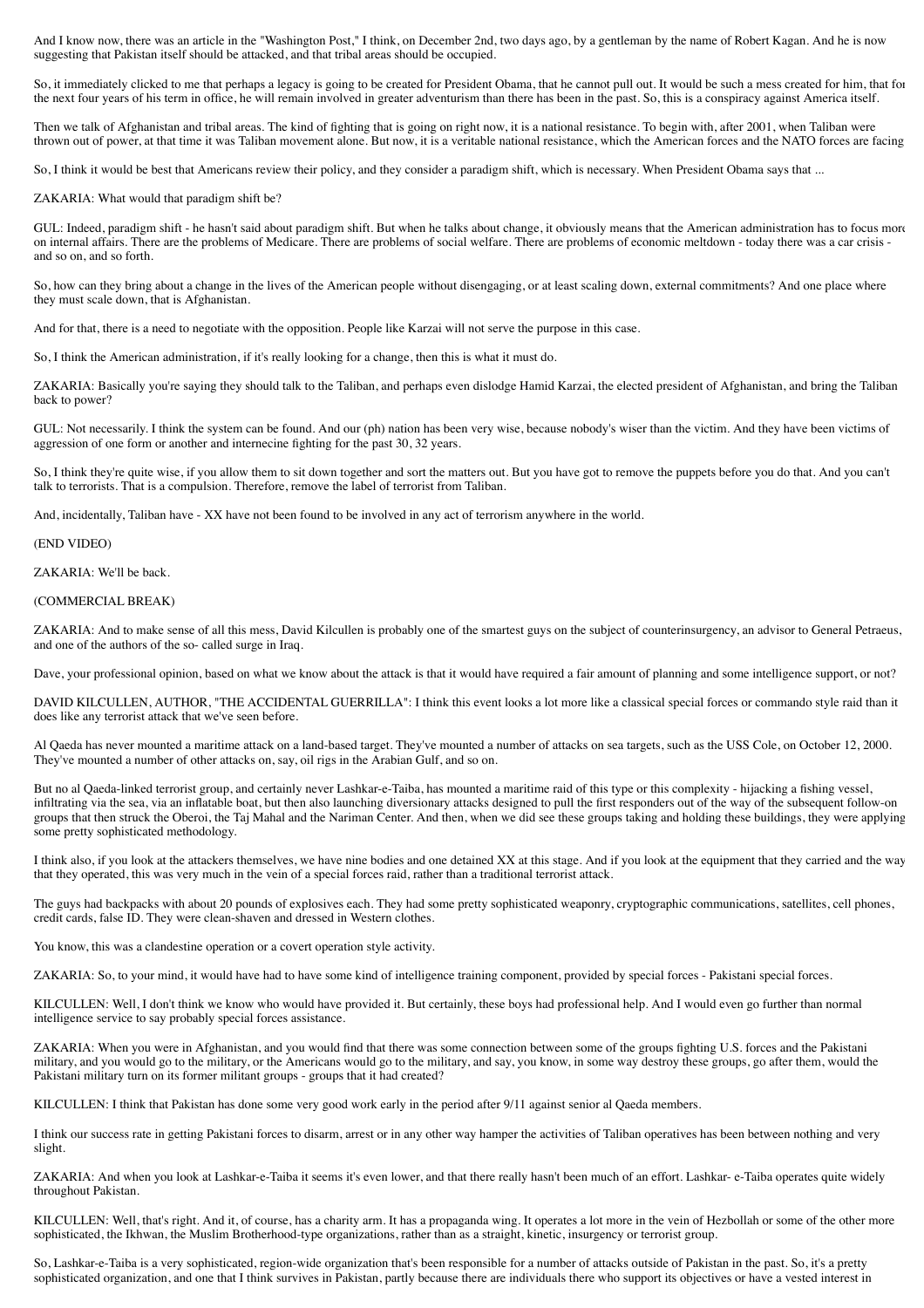And I know now, there was an article in the "Washington Post," I think, on December 2nd, two days ago, by a gentleman by the name of Robert Kagan. And he is now suggesting that Pakistan itself should be attacked, and that tribal areas should be occupied.

So, it immediately clicked to me that perhaps a legacy is going to be created for President Obama, that he cannot pull out. It would be such a mess created for him, that for the next four years of his term in office, he will remain involved in greater adventurism than there has been in the past. So, this is a conspiracy against America itself.

Then we talk of Afghanistan and tribal areas. The kind of fighting that is going on right now, it is a national resistance. To begin with, after 2001, when Taliban were thrown out of power, at that time it was Taliban movement alone. But now, it is a veritable national resistance, which the American forces and the NATO forces are facing.

So, I think it would be best that Americans review their policy, and they consider a paradigm shift, which is necessary. When President Obama says that ...

ZAKARIA: What would that paradigm shift be?

GUL: Indeed, paradigm shift - he hasn't said about paradigm shift. But when he talks about change, it obviously means that the American administration has to focus more on internal affairs. There are the problems of Medicare. There are problems of social welfare. There are problems of economic meltdown - today there was a car crisis and so on, and so forth.

So, how can they bring about a change in the lives of the American people without disengaging, or at least scaling down, external commitments? And one place where they must scale down, that is Afghanistan.

And for that, there is a need to negotiate with the opposition. People like Karzai will not serve the purpose in this case.

So, I think the American administration, if it's really looking for a change, then this is what it must do.

ZAKARIA: Basically you're saying they should talk to the Taliban, and perhaps even dislodge Hamid Karzai, the elected president of Afghanistan, and bring the Taliban back to power?

GUL: Not necessarily. I think the system can be found. And our (ph) nation has been very wise, because nobody's wiser than the victim. And they have been victims of aggression of one form or another and internecine fighting for the past 30, 32 years.

So, I think they're quite wise, if you allow them to sit down together and sort the matters out. But you have got to remove the puppets before you do that. And you can't talk to terrorists. That is a compulsion. Therefore, remove the label of terrorist from Taliban.

And, incidentally, Taliban have - XX have not been found to be involved in any act of terrorism anywhere in the world.

(END VIDEO)

ZAKARIA: We'll be back.

## (COMMERCIAL BREAK)

ZAKARIA: And to make sense of all this mess, David Kilcullen is probably one of the smartest guys on the subject of counterinsurgency, an advisor to General Petraeus, and one of the authors of the so- called surge in Iraq.

Dave, your professional opinion, based on what we know about the attack is that it would have required a fair amount of planning and some intelligence support, or not?

DAVID KILCULLEN, AUTHOR, "THE ACCIDENTAL GUERRILLA": I think this event looks a lot more like a classical special forces or commando style raid than it does like any terrorist attack that we've seen before.

Al Qaeda has never mounted a maritime attack on a land-based target. They've mounted a number of attacks on sea targets, such as the USS Cole, on October 12, 2000. They've mounted a number of other attacks on, say, oil rigs in the Arabian Gulf, and so on.

But no al Qaeda-linked terrorist group, and certainly never Lashkar-e-Taiba, has mounted a maritime raid of this type or this complexity - hijacking a fishing vessel, infiltrating via the sea, via an inflatable boat, but then also launching diversionary attacks designed to pull the first responders out of the way of the subsequent follow-on groups that then struck the Oberoi, the Taj Mahal and the Nariman Center. And then, when we did see these groups taking and holding these buildings, they were applying some pretty sophisticated methodology.

I think also, if you look at the attackers themselves, we have nine bodies and one detained XX at this stage. And if you look at the equipment that they carried and the way that they operated, this was very much in the vein of a special forces raid, rather than a traditional terrorist attack.

The guys had backpacks with about 20 pounds of explosives each. They had some pretty sophisticated weaponry, cryptographic communications, satellites, cell phones, credit cards, false ID. They were clean-shaven and dressed in Western clothes.

You know, this was a clandestine operation or a covert operation style activity.

ZAKARIA: So, to your mind, it would have had to have some kind of intelligence training component, provided by special forces - Pakistani special forces.

KILCULLEN: Well, I don't think we know who would have provided it. But certainly, these boys had professional help. And I would even go further than normal intelligence service to say probably special forces assistance.

ZAKARIA: When you were in Afghanistan, and you would find that there was some connection between some of the groups fighting U.S. forces and the Pakistani military, and you would go to the military, or the Americans would go to the military, and say, you know, in some way destroy these groups, go after them, would the Pakistani military turn on its former militant groups - groups that it had created?

KILCULLEN: I think that Pakistan has done some very good work early in the period after 9/11 against senior al Qaeda members.

I think our success rate in getting Pakistani forces to disarm, arrest or in any other way hamper the activities of Taliban operatives has been between nothing and very slight.

ZAKARIA: And when you look at Lashkar-e-Taiba it seems it's even lower, and that there really hasn't been much of an effort. Lashkar- e-Taiba operates quite widely throughout Pakistan.

KILCULLEN: Well, that's right. And it, of course, has a charity arm. It has a propaganda wing. It operates a lot more in the vein of Hezbollah or some of the other more sophisticated, the Ikhwan, the Muslim Brotherhood-type organizations, rather than as a straight, kinetic, insurgency or terrorist group.

So, Lashkar-e-Taiba is a very sophisticated, region-wide organization that's been responsible for a number of attacks outside of Pakistan in the past. So, it's a pretty sophisticated organization, and one that I think survives in Pakistan, partly because there are individuals there who support its objectives or have a vested interest in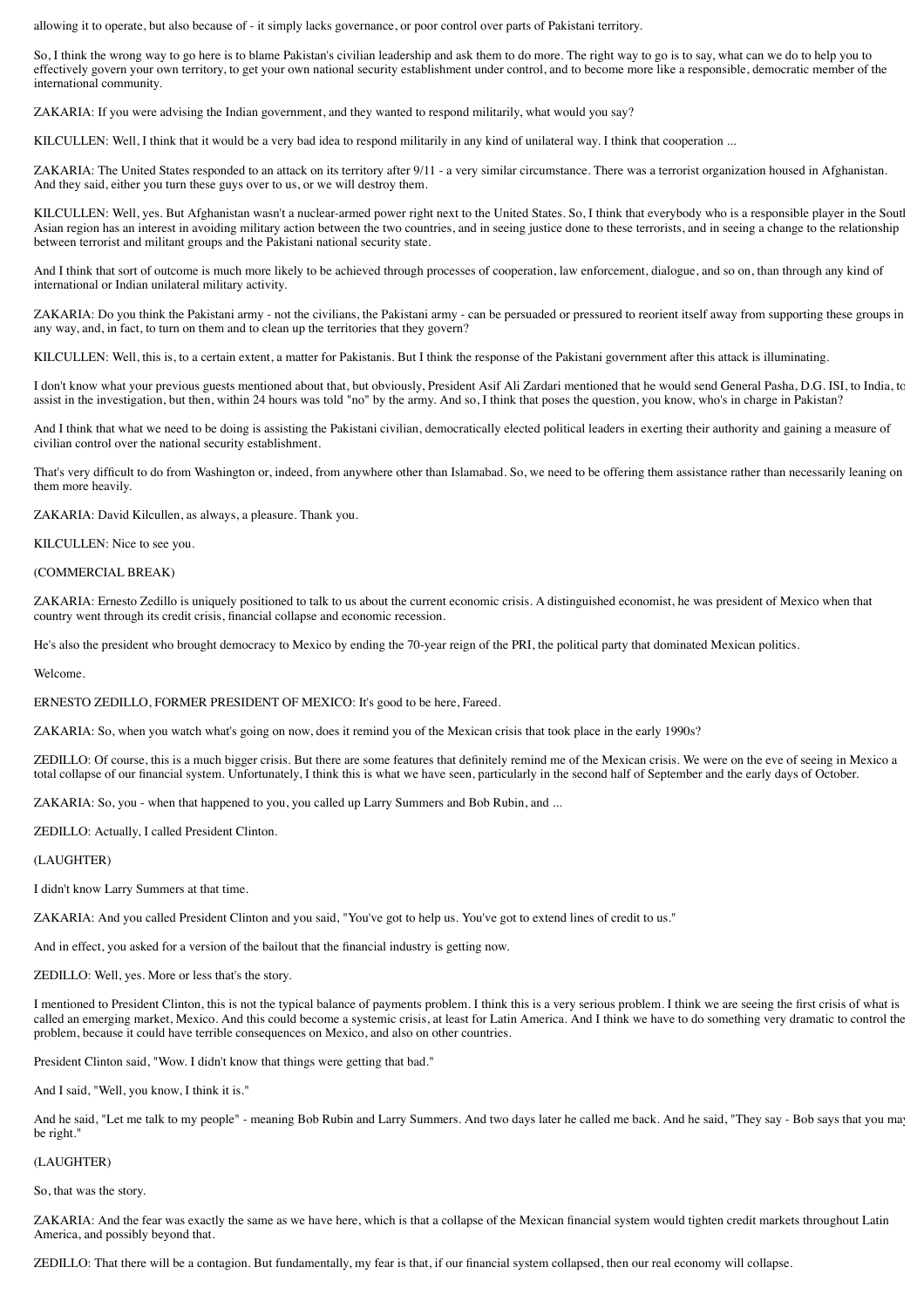allowing it to operate, but also because of - it simply lacks governance, or poor control over parts of Pakistani territory.

So, I think the wrong way to go here is to blame Pakistan's civilian leadership and ask them to do more. The right way to go is to say, what can we do to help you to effectively govern your own territory, to get your own national security establishment under control, and to become more like a responsible, democratic member of the international community.

ZAKARIA: If you were advising the Indian government, and they wanted to respond militarily, what would you say?

KILCULLEN: Well, I think that it would be a very bad idea to respond militarily in any kind of unilateral way. I think that cooperation ...

ZAKARIA: The United States responded to an attack on its territory after 9/11 - a very similar circumstance. There was a terrorist organization housed in Afghanistan. And they said, either you turn these guys over to us, or we will destroy them.

KILCULLEN: Well, yes. But Afghanistan wasn't a nuclear-armed power right next to the United States. So, I think that everybody who is a responsible player in the South Asian region has an interest in avoiding military action between the two countries, and in seeing justice done to these terrorists, and in seeing a change to the relationship between terrorist and militant groups and the Pakistani national security state.

And I think that sort of outcome is much more likely to be achieved through processes of cooperation, law enforcement, dialogue, and so on, than through any kind of international or Indian unilateral military activity.

ZAKARIA: Do you think the Pakistani army - not the civilians, the Pakistani army - can be persuaded or pressured to reorient itself away from supporting these groups in any way, and, in fact, to turn on them and to clean up the territories that they govern?

KILCULLEN: Well, this is, to a certain extent, a matter for Pakistanis. But I think the response of the Pakistani government after this attack is illuminating.

I don't know what your previous guests mentioned about that, but obviously, President Asif Ali Zardari mentioned that he would send General Pasha, D.G. ISI, to India, to assist in the investigation, but then, within 24 hours was told "no" by the army. And so, I think that poses the question, you know, who's in charge in Pakistan?

And I think that what we need to be doing is assisting the Pakistani civilian, democratically elected political leaders in exerting their authority and gaining a measure of civilian control over the national security establishment.

That's very difficult to do from Washington or, indeed, from anywhere other than Islamabad. So, we need to be offering them assistance rather than necessarily leaning on them more heavily.

ZAKARIA: David Kilcullen, as always, a pleasure. Thank you.

KILCULLEN: Nice to see you.

### (COMMERCIAL BREAK)

ZAKARIA: Ernesto Zedillo is uniquely positioned to talk to us about the current economic crisis. A distinguished economist, he was president of Mexico when that country went through its credit crisis, financial collapse and economic recession.

He's also the president who brought democracy to Mexico by ending the 70-year reign of the PRI, the political party that dominated Mexican politics.

Welcome.

ERNESTO ZEDILLO, FORMER PRESIDENT OF MEXICO: It's good to be here, Fareed.

ZAKARIA: So, when you watch what's going on now, does it remind you of the Mexican crisis that took place in the early 1990s?

ZEDILLO: Of course, this is a much bigger crisis. But there are some features that definitely remind me of the Mexican crisis. We were on the eve of seeing in Mexico a total collapse of our financial system. Unfortunately, I think this is what we have seen, particularly in the second half of September and the early days of October.

ZAKARIA: So, you - when that happened to you, you called up Larry Summers and Bob Rubin, and ...

ZEDILLO: Actually, I called President Clinton.

(LAUGHTER)

I didn't know Larry Summers at that time.

ZAKARIA: And you called President Clinton and you said, "You've got to help us. You've got to extend lines of credit to us."

And in effect, you asked for a version of the bailout that the financial industry is getting now.

ZEDILLO: Well, yes. More or less that's the story.

I mentioned to President Clinton, this is not the typical balance of payments problem. I think this is a very serious problem. I think we are seeing the first crisis of what is called an emerging market, Mexico. And this could become a systemic crisis, at least for Latin America. And I think we have to do something very dramatic to control the problem, because it could have terrible consequences on Mexico, and also on other countries.

President Clinton said, "Wow. I didn't know that things were getting that bad."

And I said, "Well, you know, I think it is."

And he said, "Let me talk to my people" - meaning Bob Rubin and Larry Summers. And two days later he called me back. And he said, "They say - Bob says that you may be right."

### (LAUGHTER)

So, that was the story.

ZAKARIA: And the fear was exactly the same as we have here, which is that a collapse of the Mexican financial system would tighten credit markets throughout Latin America, and possibly beyond that.

ZEDILLO: That there will be a contagion. But fundamentally, my fear is that, if our financial system collapsed, then our real economy will collapse.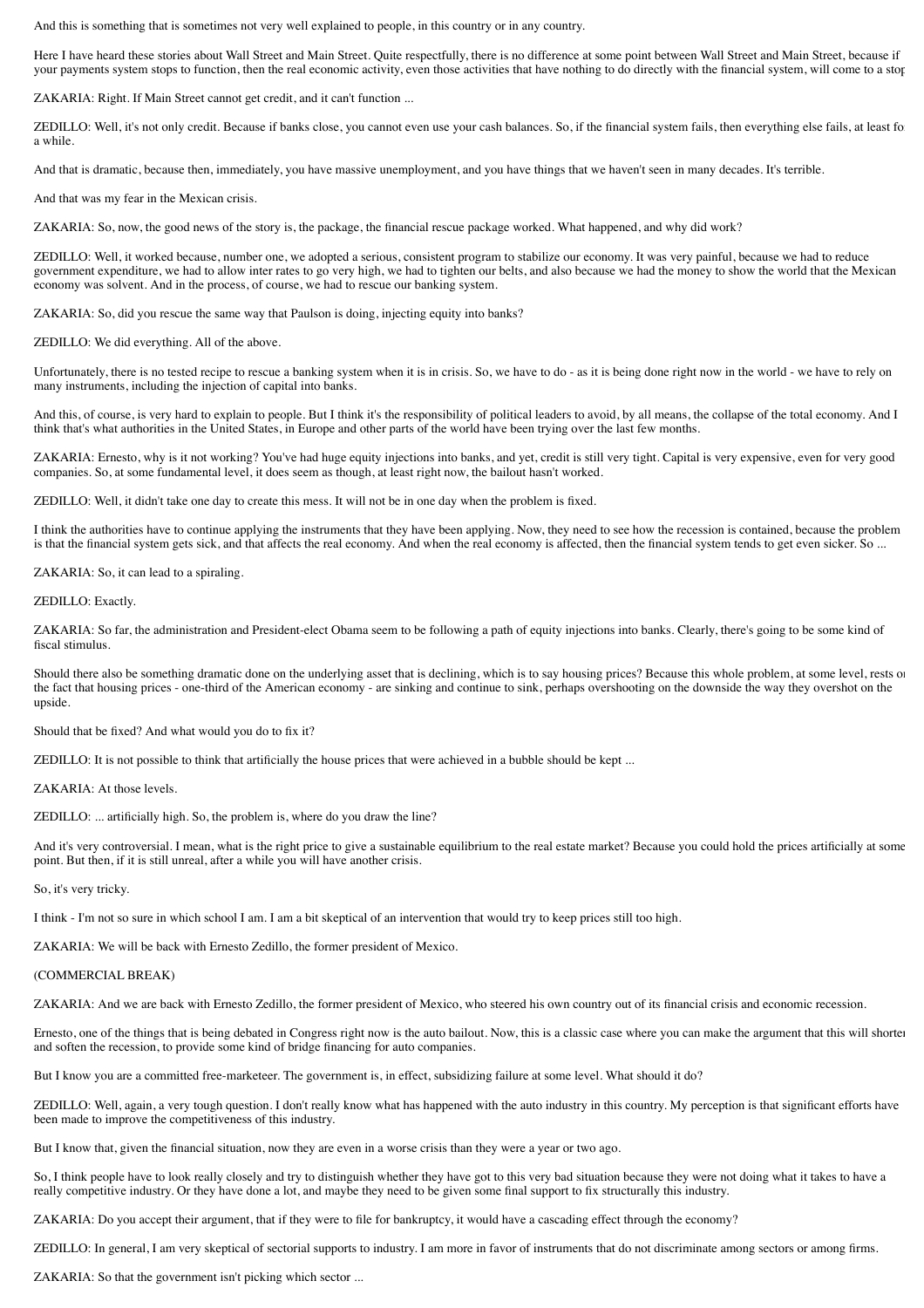And this is something that is sometimes not very well explained to people, in this country or in any country.

Here I have heard these stories about Wall Street and Main Street. Quite respectfully, there is no difference at some point between Wall Street and Main Street, because if your payments system stops to function, then the real economic activity, even those activities that have nothing to do directly with the financial system, will come to a stop

ZAKARIA: Right. If Main Street cannot get credit, and it can't function ...

ZEDILLO: Well, it's not only credit. Because if banks close, you cannot even use your cash balances. So, if the financial system fails, then everything else fails, at least for a while.

And that is dramatic, because then, immediately, you have massive unemployment, and you have things that we haven't seen in many decades. It's terrible.

And that was my fear in the Mexican crisis.

ZAKARIA: So, now, the good news of the story is, the package, the financial rescue package worked. What happened, and why did work?

ZEDILLO: Well, it worked because, number one, we adopted a serious, consistent program to stabilize our economy. It was very painful, because we had to reduce government expenditure, we had to allow inter rates to go very high, we had to tighten our belts, and also because we had the money to show the world that the Mexican economy was solvent. And in the process, of course, we had to rescue our banking system.

ZAKARIA: So, did you rescue the same way that Paulson is doing, injecting equity into banks?

ZEDILLO: We did everything. All of the above.

Unfortunately, there is no tested recipe to rescue a banking system when it is in crisis. So, we have to do - as it is being done right now in the world - we have to rely on many instruments, including the injection of capital into banks.

And this, of course, is very hard to explain to people. But I think it's the responsibility of political leaders to avoid, by all means, the collapse of the total economy. And I think that's what authorities in the United States, in Europe and other parts of the world have been trying over the last few months.

ZAKARIA: Ernesto, why is it not working? You've had huge equity injections into banks, and yet, credit is still very tight. Capital is very expensive, even for very good companies. So, at some fundamental level, it does seem as though, at least right now, the bailout hasn't worked.

ZEDILLO: Well, it didn't take one day to create this mess. It will not be in one day when the problem is fixed.

I think the authorities have to continue applying the instruments that they have been applying. Now, they need to see how the recession is contained, because the problem is that the financial system gets sick, and that affects the real economy. And when the real economy is affected, then the financial system tends to get even sicker. So ...

ZAKARIA: So, it can lead to a spiraling.

ZEDILLO: Exactly.

ZAKARIA: So far, the administration and President-elect Obama seem to be following a path of equity injections into banks. Clearly, there's going to be some kind of fiscal stimulus.

Should there also be something dramatic done on the underlying asset that is declining, which is to say housing prices? Because this whole problem, at some level, rests or the fact that housing prices - one-third of the American economy - are sinking and continue to sink, perhaps overshooting on the downside the way they overshot on the upside.

Should that be fixed? And what would you do to fix it?

ZEDILLO: It is not possible to think that artificially the house prices that were achieved in a bubble should be kept ...

ZAKARIA: At those levels.

ZEDILLO: ... artificially high. So, the problem is, where do you draw the line?

And it's very controversial. I mean, what is the right price to give a sustainable equilibrium to the real estate market? Because you could hold the prices artificially at some point. But then, if it is still unreal, after a while you will have another crisis.

So, it's very tricky.

I think - I'm not so sure in which school I am. I am a bit skeptical of an intervention that would try to keep prices still too high.

ZAKARIA: We will be back with Ernesto Zedillo, the former president of Mexico.

#### (COMMERCIAL BREAK)

ZAKARIA: And we are back with Ernesto Zedillo, the former president of Mexico, who steered his own country out of its financial crisis and economic recession.

Ernesto, one of the things that is being debated in Congress right now is the auto bailout. Now, this is a classic case where you can make the argument that this will shorten and soften the recession, to provide some kind of bridge financing for auto companies.

But I know you are a committed free-marketeer. The government is, in effect, subsidizing failure at some level. What should it do?

ZEDILLO: Well, again, a very tough question. I don't really know what has happened with the auto industry in this country. My perception is that significant efforts have been made to improve the competitiveness of this industry.

But I know that, given the financial situation, now they are even in a worse crisis than they were a year or two ago.

So, I think people have to look really closely and try to distinguish whether they have got to this very bad situation because they were not doing what it takes to have a really competitive industry. Or they have done a lot, and maybe they need to be given some final support to fix structurally this industry.

ZAKARIA: Do you accept their argument, that if they were to file for bankruptcy, it would have a cascading effect through the economy?

ZEDILLO: In general, I am very skeptical of sectorial supports to industry. I am more in favor of instruments that do not discriminate among sectors or among firms.

ZAKARIA: So that the government isn't picking which sector ...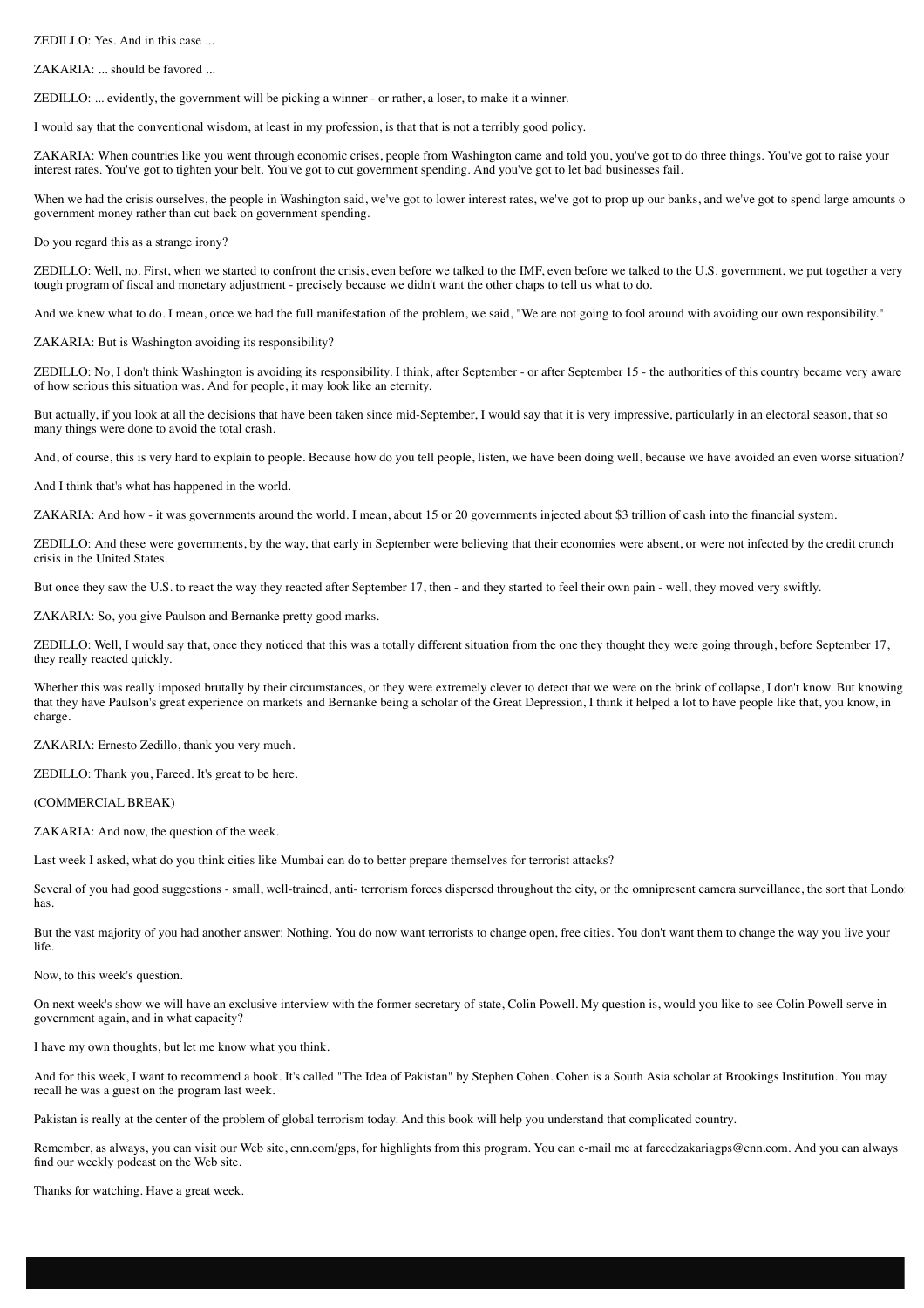ZEDILLO: Yes. And in this case ...

ZAKARIA: ... should be favored ...

ZEDILLO: ... evidently, the government will be picking a winner - or rather, a loser, to make it a winner.

I would say that the conventional wisdom, at least in my profession, is that that is not a terribly good policy.

ZAKARIA: When countries like you went through economic crises, people from Washington came and told you, you've got to do three things. You've got to raise your interest rates. You've got to tighten your belt. You've got to cut government spending. And you've got to let bad businesses fail.

When we had the crisis ourselves, the people in Washington said, we've got to lower interest rates, we've got to prop up our banks, and we've got to spend large amounts of government money rather than cut back on government spending.

Do you regard this as a strange irony?

ZEDILLO: Well, no. First, when we started to confront the crisis, even before we talked to the IMF, even before we talked to the U.S. government, we put together a very tough program of fiscal and monetary adjustment - precisely because we didn't want the other chaps to tell us what to do.

And we knew what to do. I mean, once we had the full manifestation of the problem, we said, "We are not going to fool around with avoiding our own responsibility."

ZAKARIA: But is Washington avoiding its responsibility?

ZEDILLO: No, I don't think Washington is avoiding its responsibility. I think, after September - or after September 15 - the authorities of this country became very aware of how serious this situation was. And for people, it may look like an eternity.

But actually, if you look at all the decisions that have been taken since mid-September, I would say that it is very impressive, particularly in an electoral season, that so many things were done to avoid the total crash.

And, of course, this is very hard to explain to people. Because how do you tell people, listen, we have been doing well, because we have avoided an even worse situation?

And I think that's what has happened in the world.

ZAKARIA: And how - it was governments around the world. I mean, about 15 or 20 governments injected about \$3 trillion of cash into the financial system.

ZEDILLO: And these were governments, by the way, that early in September were believing that their economies were absent, or were not infected by the credit crunch crisis in the United States.

But once they saw the U.S. to react the way they reacted after September 17, then - and they started to feel their own pain - well, they moved very swiftly.

ZAKARIA: So, you give Paulson and Bernanke pretty good marks.

ZEDILLO: Well, I would say that, once they noticed that this was a totally different situation from the one they thought they were going through, before September 17, they really reacted quickly.

Whether this was really imposed brutally by their circumstances, or they were extremely clever to detect that we were on the brink of collapse, I don't know. But knowing that they have Paulson's great experience on markets and Bernanke being a scholar of the Great Depression, I think it helped a lot to have people like that, you know, in charge.

ZAKARIA: Ernesto Zedillo, thank you very much.

ZEDILLO: Thank you, Fareed. It's great to be here.

### (COMMERCIAL BREAK)

ZAKARIA: And now, the question of the week.

Last week I asked, what do you think cities like Mumbai can do to better prepare themselves for terrorist attacks?

Several of you had good suggestions - small, well-trained, anti- terrorism forces dispersed throughout the city, or the omnipresent camera surveillance, the sort that London has.

But the vast majority of you had another answer: Nothing. You do now want terrorists to change open, free cities. You don't want them to change the way you live your life.

Now, to this week's question.

On next week's show we will have an exclusive interview with the former secretary of state, Colin Powell. My question is, would you like to see Colin Powell serve in government again, and in what capacity?

I have my own thoughts, but let me know what you think.

And for this week, I want to recommend a book. It's called "The Idea of Pakistan" by Stephen Cohen. Cohen is a South Asia scholar at Brookings Institution. You may recall he was a guest on the program last week.

Pakistan is really at the center of the problem of global terrorism today. And this book will help you understand that complicated country.

Remember, as always, you can visit our Web site, cnn.com/gps, for highlights from this program. You can e-mail me at fareedzakariagps@cnn.com. And you can always find our weekly podcast on the Web site.

Thanks for watching. Have a great week.